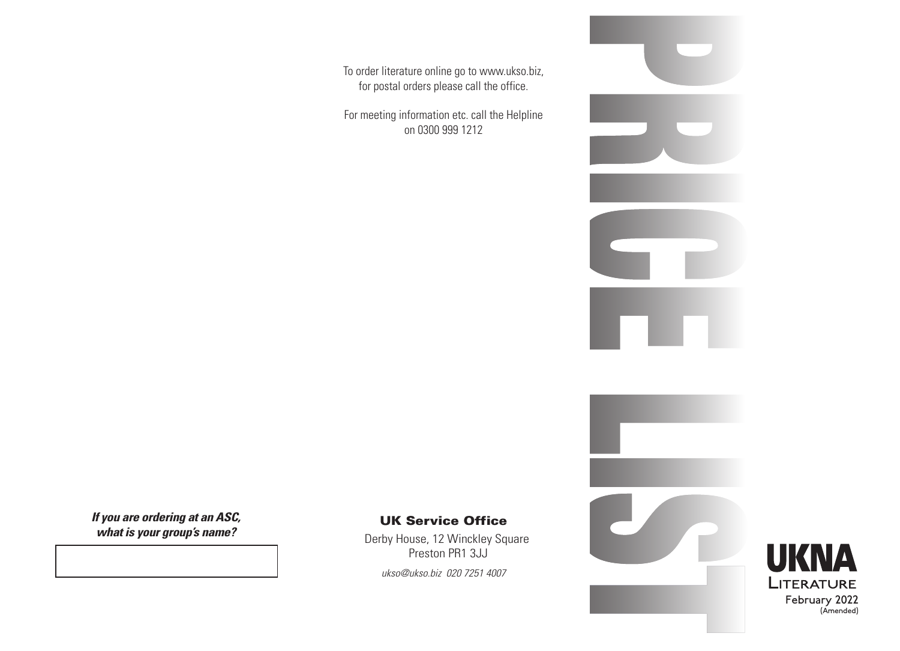To order literature online go to www.ukso.biz, for postal orders please call the office.

For meeting information etc. call the Helpline on 0300 999 1212

*If you are ordering at an ASC, what is your group's name?*

## UK Service Office

Derby House, 12 Winckley Square Preston PR1 3JJ

*ukso@ukso.biz 020 7251 4007*



February 2022

(Amended)